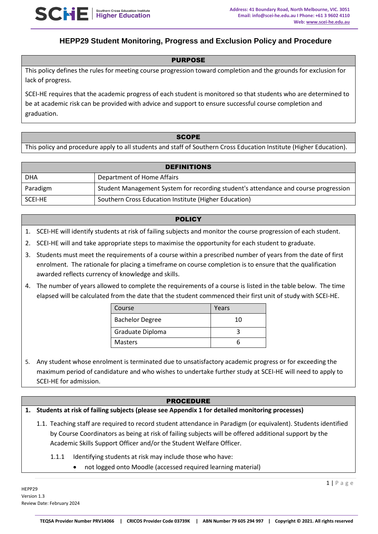

# **HEPP29 Student Monitoring, Progress and Exclusion Policy and Procedure**

### PURPOSE

This policy defines the rules for meeting course progression toward completion and the grounds for exclusion for lack of progress.

SCEI-HE requires that the academic progress of each student is monitored so that students who are determined to be at academic risk can be provided with advice and support to ensure successful course completion and graduation.

#### **SCOPE**

This policy and procedure apply to all students and staff of Southern Cross Education Institute (Higher Education).

| <b>DEFINITIONS</b> |                                                                                     |  |
|--------------------|-------------------------------------------------------------------------------------|--|
| <b>DHA</b>         | Department of Home Affairs                                                          |  |
| Paradigm           | Student Management System for recording student's attendance and course progression |  |
| SCEI-HE            | Southern Cross Education Institute (Higher Education)                               |  |

#### **POLICY**

- 1. SCEI-HE will identify students at risk of failing subjects and monitor the course progression of each student.
- 2. SCEI-HE will and take appropriate steps to maximise the opportunity for each student to graduate.
- 3. Students must meet the requirements of a course within a prescribed number of years from the date of first enrolment. The rationale for placing a timeframe on course completion is to ensure that the qualification awarded reflects currency of knowledge and skills.
- 4. The number of years allowed to complete the requirements of a course is listed in the table below. The time elapsed will be calculated from the date that the student commenced their first unit of study with SCEI-HE.

| Course                 | Years |
|------------------------|-------|
| <b>Bachelor Degree</b> | 10    |
| Graduate Diploma       |       |
| <b>Masters</b>         |       |

5. Any student whose enrolment is terminated due to unsatisfactory academic progress or for exceeding the maximum period of candidature and who wishes to undertake further study at SCEI-HE will need to apply to SCEI-HE for admission.

### PROCEDURE

**1. Students at risk of failing subjects (please see Appendix 1 for detailed monitoring processes)**

- 1.1. Teaching staff are required to record student attendance in Paradigm (or equivalent). Students identified by Course Coordinators as being at risk of failing subjects will be offered additional support by the Academic Skills Support Officer and/or the Student Welfare Officer.
	- 1.1.1 Identifying students at risk may include those who have:
		- not logged onto Moodle (accessed required learning material)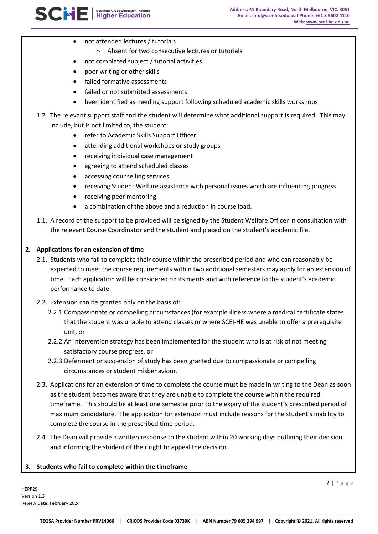- not attended lectures / tutorials
	- o Absent for two consecutive lectures or tutorials
- not completed subject / tutorial activities
- poor writing or other skills
- failed formative assessments
- failed or not submitted assessments
- been identified as needing support following scheduled academic skills workshops
- 1.2. The relevant support staff and the student will determine what additional support is required. This may include, but is not limited to, the student:
	- refer to Academic Skills Support Officer
	- attending additional workshops or study groups
	- receiving individual case management
	- agreeing to attend scheduled classes
	- accessing counselling services
	- receiving Student Welfare assistance with personal issues which are influencing progress
	- receiving peer mentoring
	- a combination of the above and a reduction in course load.
- 1.1. A record of the support to be provided will be signed by the Student Welfare Officer in consultation with the relevant Course Coordinator and the student and placed on the student's academic file.

### **2. Applications for an extension of time**

- 2.1. Students who fail to complete their course within the prescribed period and who can reasonably be expected to meet the course requirements within two additional semesters may apply for an extension of time. Each application will be considered on its merits and with reference to the student's academic performance to date.
- 2.2. Extension can be granted only on the basis of:
	- 2.2.1.Compassionate or compelling circumstances (for example illness where a medical certificate states that the student was unable to attend classes or where SCEI-HE was unable to offer a prerequisite unit, or
	- 2.2.2.An intervention strategy has been implemented for the student who is at risk of not meeting satisfactory course progress, or
	- 2.2.3.Deferment or suspension of study has been granted due to compassionate or compelling circumstances or student misbehaviour.
- 2.3. Applications for an extension of time to complete the course must be made in writing to the Dean as soon as the student becomes aware that they are unable to complete the course within the required timeframe. This should be at least one semester prior to the expiry of the student's prescribed period of maximum candidature. The application for extension must include reasons for the student's inability to complete the course in the prescribed time period.
- 2.4. The Dean will provide a written response to the student within 20 working days outlining their decision and informing the student of their right to appeal the decision.

### **3. Students who fail to complete within the timeframe**

HEPP29 Version 1.3 Review Date: February 2024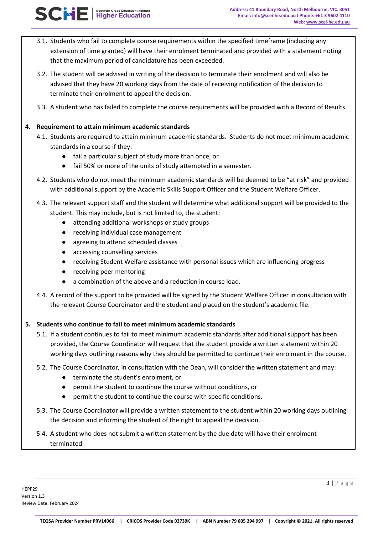- 3.1. Students who fail to complete course requirements within the specified timeframe (including any extension of time granted) will have their enrolment terminated and provided with a statement noting that the maximum period of candidature has been exceeded.
- 3.2. The student will be advised in writing of the decision to terminate their enrolment and will also be advised that they have 20 working days from the date of receiving notification of the decision to terminate their enrolment to appeal the decision.
- 3.3. A student who has failed to complete the course requirements will be provided with a Record of Results.

## **4. Requirement to attain minimum academic standards**

**SCHE** Higher Education Institute

- 4.1. Students are required to attain minimum academic standards. Students do not meet minimum academic standards in a course if they:
	- fail a particular subject of study more than once; or
	- fail 50% or more of the units of study attempted in a semester.
- 4.2. Students who do not meet the minimum academic standards will be deemed to be "at risk" and provided with additional support by the Academic Skills Support Officer and the Student Welfare Officer.
- 4.3. The relevant support staff and the student will determine what additional support will be provided to the student. This may include, but is not limited to, the student:
	- attending additional workshops or study groups
	- receiving individual case management
	- agreeing to attend scheduled classes
	- accessing counselling services
	- receiving Student Welfare assistance with personal issues which are influencing progress
	- receiving peer mentoring
	- a combination of the above and a reduction in course load.
- 4.4. A record of the support to be provided will be signed by the Student Welfare Officer in consultation with the relevant Course Coordinator and the student and placed on the student's academic file.

### **5. Students who continue to fail to meet minimum academic standards**

- 5.1. If a student continues to fail to meet minimum academic standards after additional support has been provided, the Course Coordinator will request that the student provide a written statement within 20 working days outlining reasons why they should be permitted to continue their enrolment in the course.
- 5.2. The Course Coordinator, in consultation with the Dean, will consider the written statement and may:
	- terminate the student's enrolment, or
	- permit the student to continue the course without conditions, or
	- permit the student to continue the course with specific conditions.
- 5.3. The Course Coordinator will provide a written statement to the student within 20 working days outlining the decision and informing the student of the right to appeal the decision.
- 5.4. A student who does not submit a written statement by the due date will have their enrolment terminated.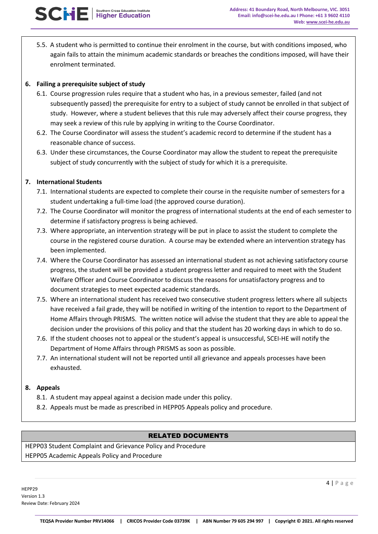5.5. A student who is permitted to continue their enrolment in the course, but with conditions imposed, who again fails to attain the minimum academic standards or breaches the conditions imposed, will have their enrolment terminated.

## **6. Failing a prerequisite subject of study**

- 6.1. Course progression rules require that a student who has, in a previous semester, failed (and not subsequently passed) the prerequisite for entry to a subject of study cannot be enrolled in that subject of study. However, where a student believes that this rule may adversely affect their course progress, they may seek a review of this rule by applying in writing to the Course Coordinator.
- 6.2. The Course Coordinator will assess the student's academic record to determine if the student has a reasonable chance of success.
- 6.3. Under these circumstances, the Course Coordinator may allow the student to repeat the prerequisite subject of study concurrently with the subject of study for which it is a prerequisite.

### **7. International Students**

- 7.1. International students are expected to complete their course in the requisite number of semesters for a student undertaking a full-time load (the approved course duration).
- 7.2. The Course Coordinator will monitor the progress of international students at the end of each semester to determine if satisfactory progress is being achieved.
- 7.3. Where appropriate, an intervention strategy will be put in place to assist the student to complete the course in the registered course duration. A course may be extended where an intervention strategy has been implemented.
- 7.4. Where the Course Coordinator has assessed an international student as not achieving satisfactory course progress, the student will be provided a student progress letter and required to meet with the Student Welfare Officer and Course Coordinator to discuss the reasons for unsatisfactory progress and to document strategies to meet expected academic standards.
- 7.5. Where an international student has received two consecutive student progress letters where all subjects have received a fail grade, they will be notified in writing of the intention to report to the Department of Home Affairs through PRISMS. The written notice will advise the student that they are able to appeal the decision under the provisions of this policy and that the student has 20 working days in which to do so.
- 7.6. If the student chooses not to appeal or the student's appeal is unsuccessful, SCEI-HE will notify the Department of Home Affairs through PRISMS as soon as possible.
- 7.7. An international student will not be reported until all grievance and appeals processes have been exhausted.

### **8. Appeals**

- 8.1. A student may appeal against a decision made under this policy.
- 8.2. Appeals must be made as prescribed in HEPP05 Appeals policy and procedure.

### RELATED DOCUMENTS

HEPP03 Student Complaint and Grievance Policy and Procedure HEPP05 Academic Appeals Policy and Procedure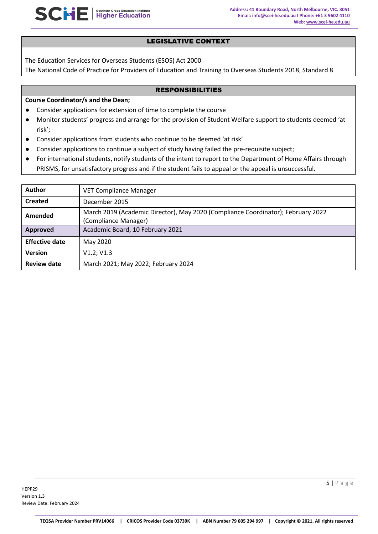### LEGISLATIVE CONTEXT

The Education Services for Overseas Students (ESOS) Act 2000

The National Code of Practice for Providers of Education and Training to Overseas Students 2018, Standard 8

### RESPONSIBILITIES

### **Course Coordinator/s and the Dean;**

- Consider applications for extension of time to complete the course
- Monitor students' progress and arrange for the provision of Student Welfare support to students deemed 'at risk';
- Consider applications from students who continue to be deemed 'at risk'
- Consider applications to continue a subject of study having failed the pre-requisite subject;
- For international students, notify students of the intent to report to the Department of Home Affairs through PRISMS, for unsatisfactory progress and if the student fails to appeal or the appeal is unsuccessful.

| <b>Author</b>         | <b>VET Compliance Manager</b>                                                                            |
|-----------------------|----------------------------------------------------------------------------------------------------------|
| <b>Created</b>        | December 2015                                                                                            |
| Amended               | March 2019 (Academic Director), May 2020 (Compliance Coordinator); February 2022<br>(Compliance Manager) |
| Approved              | Academic Board, 10 February 2021                                                                         |
| <b>Effective date</b> | May 2020                                                                                                 |
| <b>Version</b>        | V1.2; V1.3                                                                                               |
| <b>Review date</b>    | March 2021; May 2022; February 2024                                                                      |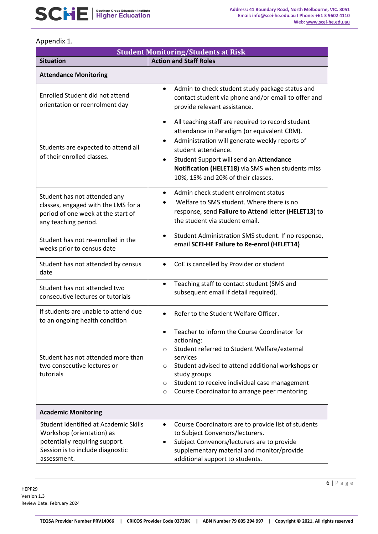# Appendix 1.

| <b>Student Monitoring/Students at Risk</b>                                                                                                              |                                                                                                                                                                                                                                                                                                                                                        |  |  |  |
|---------------------------------------------------------------------------------------------------------------------------------------------------------|--------------------------------------------------------------------------------------------------------------------------------------------------------------------------------------------------------------------------------------------------------------------------------------------------------------------------------------------------------|--|--|--|
| <b>Situation</b>                                                                                                                                        | <b>Action and Staff Roles</b>                                                                                                                                                                                                                                                                                                                          |  |  |  |
| <b>Attendance Monitoring</b>                                                                                                                            |                                                                                                                                                                                                                                                                                                                                                        |  |  |  |
| Enrolled Student did not attend<br>orientation or reenrolment day                                                                                       | Admin to check student study package status and<br>$\bullet$<br>contact student via phone and/or email to offer and<br>provide relevant assistance.                                                                                                                                                                                                    |  |  |  |
| Students are expected to attend all<br>of their enrolled classes.                                                                                       | All teaching staff are required to record student<br>$\bullet$<br>attendance in Paradigm (or equivalent CRM).<br>Administration will generate weekly reports of<br>$\bullet$<br>student attendance.<br>Student Support will send an Attendance<br>$\bullet$<br>Notification (HELET18) via SMS when students miss<br>10%, 15% and 20% of their classes. |  |  |  |
| Student has not attended any<br>classes, engaged with the LMS for a<br>period of one week at the start of<br>any teaching period.                       | Admin check student enrolment status<br>$\bullet$<br>Welfare to SMS student. Where there is no<br>response, send Failure to Attend letter (HELET13) to<br>the student via student email.                                                                                                                                                               |  |  |  |
| Student has not re-enrolled in the<br>weeks prior to census date                                                                                        | Student Administration SMS student. If no response,<br>$\bullet$<br>email SCEI-HE Failure to Re-enrol (HELET14)                                                                                                                                                                                                                                        |  |  |  |
| Student has not attended by census<br>date                                                                                                              | CoE is cancelled by Provider or student<br>$\bullet$                                                                                                                                                                                                                                                                                                   |  |  |  |
| Student has not attended two<br>consecutive lectures or tutorials                                                                                       | Teaching staff to contact student (SMS and<br>$\bullet$<br>subsequent email if detail required).                                                                                                                                                                                                                                                       |  |  |  |
| If students are unable to attend due<br>to an ongoing health condition                                                                                  | Refer to the Student Welfare Officer.                                                                                                                                                                                                                                                                                                                  |  |  |  |
| Student has not attended more than<br>two consecutive lectures or<br>tutorials                                                                          | Teacher to inform the Course Coordinator for<br>actioning:<br>Student referred to Student Welfare/external<br>$\circ$<br>services<br>Student advised to attend additional workshops or<br>$\circ$<br>study groups<br>Student to receive individual case management<br>$\circ$<br>Course Coordinator to arrange peer mentoring<br>$\circ$               |  |  |  |
| <b>Academic Monitoring</b>                                                                                                                              |                                                                                                                                                                                                                                                                                                                                                        |  |  |  |
| Student identified at Academic Skills<br>Workshop (orientation) as<br>potentially requiring support.<br>Session is to include diagnostic<br>assessment. | Course Coordinators are to provide list of students<br>to Subject Convenors/lecturers.<br>Subject Convenors/lecturers are to provide<br>$\bullet$<br>supplementary material and monitor/provide<br>additional support to students.                                                                                                                     |  |  |  |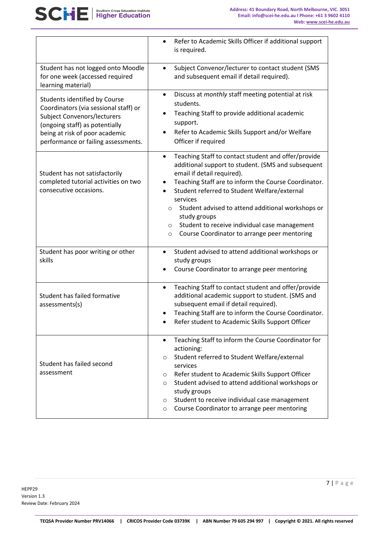|                                                                                                                                                                                                                  | Refer to Academic Skills Officer if additional support<br>$\bullet$<br>is required.                                                                                                                                                                                                                                                                                                                                                                                             |
|------------------------------------------------------------------------------------------------------------------------------------------------------------------------------------------------------------------|---------------------------------------------------------------------------------------------------------------------------------------------------------------------------------------------------------------------------------------------------------------------------------------------------------------------------------------------------------------------------------------------------------------------------------------------------------------------------------|
| Student has not logged onto Moodle<br>for one week (accessed required<br>learning material)                                                                                                                      | Subject Convenor/lecturer to contact student (SMS<br>$\bullet$<br>and subsequent email if detail required).                                                                                                                                                                                                                                                                                                                                                                     |
| Students identified by Course<br>Coordinators (via sessional staff) or<br>Subject Convenors/lecturers<br>(ongoing staff) as potentially<br>being at risk of poor academic<br>performance or failing assessments. | Discuss at monthly staff meeting potential at risk<br>$\bullet$<br>students.<br>Teaching Staff to provide additional academic<br>٠<br>support.<br>Refer to Academic Skills Support and/or Welfare<br>Officer if required                                                                                                                                                                                                                                                        |
| Student has not satisfactorily<br>completed tutorial activities on two<br>consecutive occasions.                                                                                                                 | Teaching Staff to contact student and offer/provide<br>$\bullet$<br>additional support to student. (SMS and subsequent<br>email if detail required).<br>Teaching Staff are to inform the Course Coordinator.<br>Student referred to Student Welfare/external<br>services<br>Student advised to attend additional workshops or<br>$\circ$<br>study groups<br>Student to receive individual case management<br>$\circ$<br>Course Coordinator to arrange peer mentoring<br>$\circ$ |
| Student has poor writing or other<br>skills                                                                                                                                                                      | Student advised to attend additional workshops or<br>$\bullet$<br>study groups<br>Course Coordinator to arrange peer mentoring                                                                                                                                                                                                                                                                                                                                                  |
| Student has failed formative<br>assessments(s)                                                                                                                                                                   | Teaching Staff to contact student and offer/provide<br>$\bullet$<br>additional academic support to student. (SMS and<br>subsequent email if detail required).<br>Teaching Staff are to inform the Course Coordinator.<br>Refer student to Academic Skills Support Officer                                                                                                                                                                                                       |
| Student has failed second<br>assessment                                                                                                                                                                          | Teaching Staff to inform the Course Coordinator for<br>actioning:<br>Student referred to Student Welfare/external<br>$\circ$<br>services<br>Refer student to Academic Skills Support Officer<br>O<br>Student advised to attend additional workshops or<br>$\circ$<br>study groups<br>Student to receive individual case management<br>$\circ$<br>Course Coordinator to arrange peer mentoring<br>$\circ$                                                                        |